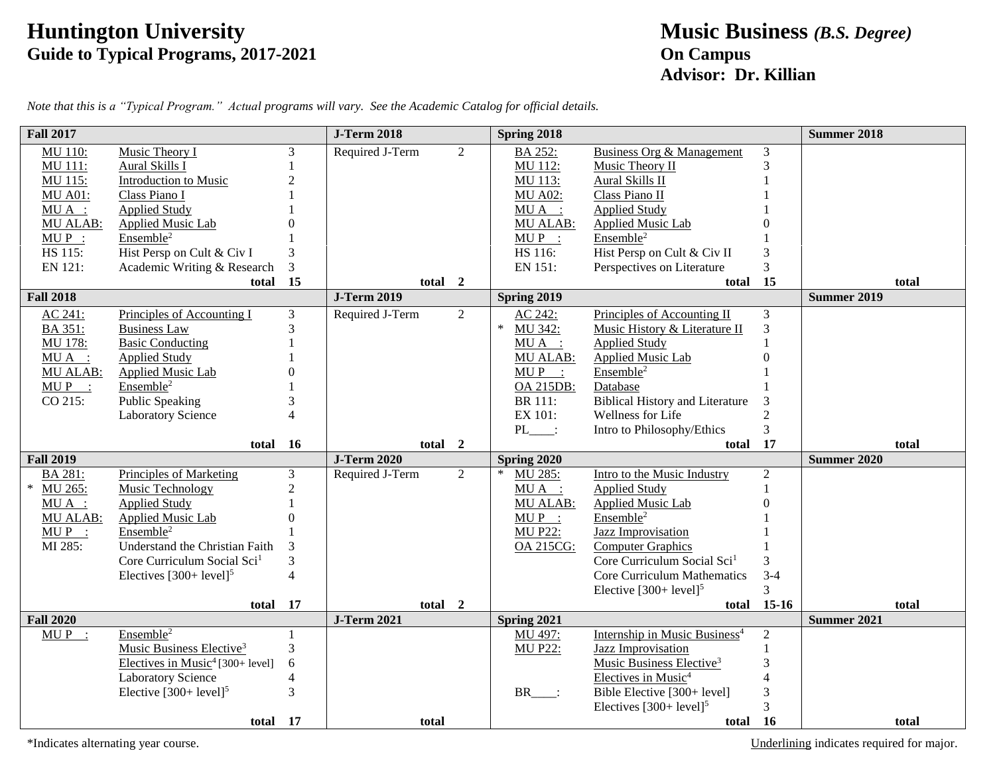## **Huntington University Music Business** *(B.S. Degree)* **Guide to Typical Programs, 2017-2021 On Campus**

## **Advisor: Dr. Killian**

| <b>Fall 2017</b> |                                              |                | <b>J-Term 2018</b> |                | Spring 2018     |                                           |                | <b>Summer 2018</b> |       |
|------------------|----------------------------------------------|----------------|--------------------|----------------|-----------------|-------------------------------------------|----------------|--------------------|-------|
| MU 110:          | Music Theory I                               | 3              | Required J-Term    | $\overline{2}$ | BA 252:         | Business Org & Management                 | 3              |                    |       |
| MU 111:          | Aural Skills I                               |                |                    |                | MU 112:         | Music Theory II                           | 3              |                    |       |
| MU 115:          | Introduction to Music                        |                |                    |                | MU 113:         | Aural Skills II                           |                |                    |       |
| <b>MU A01:</b>   | Class Piano I                                |                |                    |                | <b>MU A02:</b>  | Class Piano II                            |                |                    |       |
| $MU A$ :         | <b>Applied Study</b>                         |                |                    |                | MUA :           | <b>Applied Study</b>                      |                |                    |       |
| MU ALAB:         | <b>Applied Music Lab</b>                     |                |                    |                | MU ALAB:        | <b>Applied Music Lab</b>                  |                |                    |       |
| $MUP$ :          | Ensemble <sup>2</sup>                        |                |                    |                | $MUP$ :         | Ensemble <sup>2</sup>                     |                |                    |       |
| HS 115:          | Hist Persp on Cult & Civ I                   | 3              |                    |                | HS 116:         | Hist Persp on Cult & Civ II               | 3              |                    |       |
| EN 121:          | Academic Writing & Research                  | 3              |                    |                | EN 151:         | Perspectives on Literature                | 3              |                    |       |
|                  | total 15                                     |                | total 2            |                |                 | total                                     | 15             |                    | total |
| <b>Fall 2018</b> |                                              |                | <b>J-Term 2019</b> |                | Spring 2019     |                                           |                | <b>Summer 2019</b> |       |
| AC 241:          | Principles of Accounting I                   | 3              | Required J-Term    | $\overline{2}$ | AC 242:         | Principles of Accounting II               | 3              |                    |       |
| BA 351:          | <b>Business Law</b>                          | 3              |                    |                | ∗<br>MU 342:    | Music History & Literature II             | 3              |                    |       |
| MU 178:          | <b>Basic Conducting</b>                      |                |                    |                | MUA :           | <b>Applied Study</b>                      |                |                    |       |
| $MU A$ :         | <b>Applied Study</b>                         |                |                    |                | <b>MU ALAB:</b> | Applied Music Lab                         |                |                    |       |
| MU ALAB:         | <b>Applied Music Lab</b>                     |                |                    |                | $MUP$ :         | Ensemble <sup>2</sup>                     |                |                    |       |
| $MUP$ :          | Ensemble <sup>2</sup>                        |                |                    |                | OA 215DB:       | Database                                  |                |                    |       |
| CO 215:          | <b>Public Speaking</b>                       |                |                    |                | <b>BR</b> 111:  | <b>Biblical History and Literature</b>    | 3              |                    |       |
|                  | <b>Laboratory Science</b>                    |                |                    |                | EX 101:         | Wellness for Life                         | $\overline{2}$ |                    |       |
|                  |                                              |                |                    |                | $PL$ :          | Intro to Philosophy/Ethics                | 3              |                    |       |
|                  | total 16                                     |                | total 2            |                |                 | total                                     | 17             |                    | total |
| <b>Fall 2019</b> |                                              |                | <b>J-Term 2020</b> |                | Spring 2020     |                                           |                | <b>Summer 2020</b> |       |
| BA 281:          | <b>Principles of Marketing</b>               | 3              | Required J-Term    | $\overline{2}$ | MU 285:         | Intro to the Music Industry               | $\overline{2}$ |                    |       |
| MU 265:          | Music Technology                             | $\overline{2}$ |                    |                | $MU A$ :        | <b>Applied Study</b>                      | $\mathbf{1}$   |                    |       |
| $MU A$ :         | <b>Applied Study</b>                         |                |                    |                | <b>MU ALAB:</b> | <b>Applied Music Lab</b>                  |                |                    |       |
| <b>MU ALAB:</b>  | <b>Applied Music Lab</b>                     | $\Omega$       |                    |                | $MUP$ :         | Ensemble <sup>2</sup>                     |                |                    |       |
| $MUP$ :          | Ensemble <sup>2</sup>                        |                |                    |                | <b>MU P22:</b>  | Jazz Improvisation                        |                |                    |       |
| MI 285:          | Understand the Christian Faith               |                |                    |                | OA 215CG:       | <b>Computer Graphics</b>                  |                |                    |       |
|                  | Core Curriculum Social Sci <sup>1</sup>      | 3              |                    |                |                 | Core Curriculum Social Sci <sup>1</sup>   | 3              |                    |       |
|                  | Electives $[300+level]$ <sup>5</sup>         | $\overline{4}$ |                    |                |                 | <b>Core Curriculum Mathematics</b>        | $3 - 4$        |                    |       |
|                  |                                              |                |                    |                |                 | Elective $[300+level]$ <sup>5</sup>       | 3              |                    |       |
|                  | total 17                                     |                | total 2            |                |                 | total                                     | $15-16$        |                    | total |
| <b>Fall 2020</b> |                                              |                | <b>J-Term 2021</b> |                | Spring 2021     |                                           |                | Summer 2021        |       |
| $MUP$ :          | Ensemble <sup>2</sup>                        |                |                    |                | MU 497:         | Internship in Music Business <sup>4</sup> | $\overline{2}$ |                    |       |
|                  | Music Business Elective <sup>3</sup>         | 3              |                    |                | <b>MU P22:</b>  | <b>Jazz Improvisation</b>                 | $\mathbf{1}$   |                    |       |
|                  | Electives in Music <sup>4</sup> [300+ level] | 6              |                    |                |                 | Music Business Elective <sup>3</sup>      | 3              |                    |       |
|                  | <b>Laboratory Science</b>                    | 4              |                    |                |                 | Electives in Music <sup>4</sup>           | $\overline{4}$ |                    |       |
|                  | Elective $[300+level]$ <sup>5</sup>          | 3              |                    |                | <b>BR</b>       | Bible Elective [300+ level]               | 3              |                    |       |
|                  |                                              |                |                    |                |                 | Electives $[300+level]^5$                 | 3              |                    |       |
|                  | total 17                                     |                | total              |                |                 | total 16                                  |                |                    | total |

*Note that this is a "Typical Program." Actual programs will vary. See the Academic Catalog for official details.*

\*Indicates alternating year course. The course of the state of major. Underlining indicates required for major.